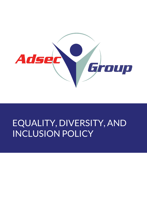

# EQUALITY, DIVERSITY, AND INCLUSION POLICY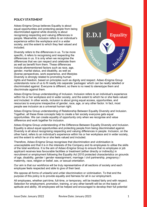## **POLICY STATEMENT**

Adsec-Enigma Group believes Equality is about equal opportunities and protecting people from being discriminated against while diversity is about recognising respecting and valuing differences in people. Meanwhile, inclusion refers to an individual's experience within the workplace and in a wider society, and the extent to which they feel valued and included.

Diversity refers to the differences in us. To be more specific, it refers to recognising and respecting the differences in us. It is only when we recognise the differences that we can respect and celebrate them as well as benefit from them. These differences include aforementioned factors such as race, age, gender, marital status, and disability, as well as diverse perspectives, work experience, and lifestyles Diversity is strongly related to promoting human



rights and freedom, based on principles such as dignity and respect. Adsec-Enigma Group understands none of us to fit neatly into separate 'packages' which can be neatly labelled or discriminated against. Everyone is different, so there is no need to stereotype them and discriminate against them.

Adsec-Enigma Group understanding of Inclusion. Inclusion refers to an individual's experience within his or her workplace and in wider society, and the extent to which he or she feels valued and included. In other words, inclusion is about giving equal access, opportunities, and resources to everyone irrespective of gender, race, age, or any other factor. In fact, most people see inclusion as a universal human right.

Adsec-Enigma Group understanding of Relationship Between Equality Diversity and Inclusion. Together, all these three concepts help to create a fair society everyone gets equal opportunities. We can create equality of opportunity only when we recognise and value difference and work together for inclusion.

Adsec-Enigma Group understanding of the Difference Between Equality Diversity and Inclusion. Equality is about equal opportunities and protecting people from being discriminated against. Diversity is all about recognising respecting and valuing differences in people. Inclusion, on the other hand, refers to an individual's experience within his or her workplace and in wider society, and the extent to which he or she feels valued and included.

Therefore, Adsec-Enigma Group recognises that discrimination and victimisation is unacceptable and that it is in the interests of the Company and its employees to utilise the skills of the total workforce. It is the aim of Adsec-Enigma Group to ensure that no employee or job applicant receives less favourable facilities or treatment (either directly or indirectly) in recruitment or employment following the Equality Act 2010 protected characteristics on grounds of age, disability, gender / gender reassignment, marriage / civil partnership, pregnancy / maternity, race, religion or belief, sex, or sexual orientation.

Our aim is that our workforce will be truly representative of all sections of society and each employee feels respected and able to give of their best.

We oppose all forms of unlawful and unfair discrimination or victimisation. To that end the purpose of this policy is to provide equality and fairness for all in our employment.

All employees, whether part-time, full-time, or temporary, will be treated fairly and with respect. Selection for employment, promotion, training, or any other benefit will be on the basis of aptitude and ability. All employees will be helped and encouraged to develop their full potential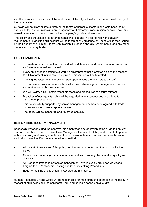and the talents and resources of the workforce will be fully utilised to maximise the efficiency of the organisation.

Our staff will not discriminate directly or indirectly, or harass customers or clients because of age, disability, gender reassignment, pregnancy and maternity, race, religion or belief, sex, and sexual orientation in the provision of the Company's goods and services.

This policy and the associated arrangements shall operate in accordance with statutory requirements. In addition, full account will be taken of any guidance or Codes of Practice issued by the Equality and Human Rights Commission, European and UK Governments, and any other recognised statutory bodies.

# **OUR COMMITMENT**

- To create an environment in which individual differences and the contributions of all our staff are recognised and valued.
- Every employee is entitled to a working environment that promotes dignity and respect to all. No form of intimidation, bullying or harassment will be tolerated.
- Training, development, and progression opportunities are available to all staff.
- To promote equality in the workplace which we believe is good management practice and makes sound business sense.
- We will review all our employment practices and procedures to ensure fairness.
- Breaches of our equality policy will be regarded as misconduct and could lead to disciplinary proceedings.
- This policy is fully supported by senior management and has been agreed with trade unions and/or employee representatives.
- The policy will be monitored and reviewed annually

## **RESPONSIBILITES OF MANAGEMENT**

Responsibility for ensuring the effective implementation and operation of the arrangements will rest with the Chief Executive. Directors / Managers will ensure that they and their staff operate within this policy and arrangements, and that all reasonable and practical steps are taken to avoid discrimination. Each manager will ensure that:

- All their staff are aware of the policy and the arrangements, and the reasons for the policy.
- Grievances concerning discrimination are dealt with properly, fairly, and as quickly as possible.
- All Staff recruitment below senior management level is evenly grounded via Adsec-Enigma Group 's standard Testing and Security Vetting Procedures.
- Equality Training and Monitoring Records are maintained.

Human Resources / Head Office will be responsible for monitoring the operation of the policy in respect of employees and job applicants, including periodic departmental audits.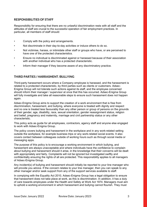# **RESPONSIBILITIES OF STAFF**

Responsibility for ensuring that there are no unlawful discrimination rests with all staff and the attitudes of staff are crucial to the successful operation of fair employment practices. In particular, all members of staff should:

- Comply with the policy and arrangements.
- Not discriminate in their day-to-day activities or induce others to do so.
- Not victimise, harass, or intimidate other staff or groups who have, or are perceived to have one of the protected characteristics.
- Ensure no individual is discriminated against or harassed because of their association with another individual who has a protected characteristic.
- Inform their manager if they become aware of any discriminatory practice.

## **THIRD PARTIES / HARRASMENT /BULLYING**

Third-party harassment occurs where a Company employee is harassed, and the harassment is related to a protected characteristic, by third parties such as clients or customers. Adsec-Enigma Group will not tolerate such actions against its staff, and the employee concerned should inform their manager / supervisor at once that this has occurred. Adsec-Enigma Group will fully investigate and take all reasonable steps to ensure such harassment does not happen again.

Adsec-Enigma Group aims to support the creation of a work environment that is free from discrimination, harassment, and bullying, where everyone is treated with dignity and respect and no one is treated less favourably than any other person or group of persons on the grounds of their gender, age, disability, race, sexual orientation, gender reassignment status, religion and belief, pregnancy and maternity, marriage and civil partnership status or any other characteristic.

This policy acts as guide for all employees, contractors, agency staff and anyone else engaged to work with Adsec-Enigma Group.

The policy covers bullying and harassment in the workplace and in any work-related setting outside the workplace, for example business trips or any work-related social events. It also covers contact between colleagues outside of working hours such as through social media or messaging apps.

The purpose of this policy is to encourage a working environment in which bullying, and harassment are always unacceptable and where individuals have the confidence to complain about bullying and harassment should it arise, in the knowledge that their concerns will be dealt with appropriately and fairly. Complaints will not be ignored but investigated swiftly and confidentially ensuring the rights of all are protected. This responsibility applies to all managers of Adsec-Enigma Group.

Any incident(s) of bullying and harassment should initially be reported to your line manager who will provide you advice. If the concern relates to your line manager, then you can speak to any other manager and/or seek support from any of the support services available to staff.

In complying with the Equality Act 2010, Adsec-Enigma Group has a legal obligation to ensure that harassment does not take place at work, as this is discrimination. In addition, it has a duty of care towards employees under the Health and Safety at Work Act 1974. Managers must aim to uphold a working environment in which harassment and bullying cannot flourish. They must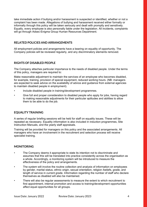take immediate action if bullying and/or harassment is suspected or identified, whether or not a complaint has been made. Allegations of bullying and harassment received either formally or informally through this policy will be taken seriously and dealt with promptly and sensitively. Equally, every employee is also personally liable under the legislation. All incidents, complaints will go through Adsec-Enigma Group Human Resources Department.

## **RELATED POLICIES AND ARRANGEMENTS**

All employment policies and arrangements have a bearing on equality of opportunity. The Company policies will be reviewed regularly, and any discriminatory elements removed.

## **RIGHTS OF DISABLED PEOPLE**

The Company attaches particular importance to the needs of disabled people. Under the terms of this policy, managers are required to:

Make reasonable adjustment to maintain the services of an employee who becomes disabled, for example, training, provision of special equipment, reduced working hours. (NB: managers are expected to seek advice on the availability of advice and guidance from external agencies to maintain disabled people in employment).

- Include disabled people in training/development programmes.
- Give full and proper consideration to disabled people who apply for jobs, having regard to making reasonable adjustments for their particular aptitudes and abilities to allow them to be able to do the job.

#### **EQUALITY TRAINING**

A series of regular briefing sessions will be held for staff on equality issues. These will be repeated as necessary. Equality information is also included in induction programmes, Site Instruction Manuals, and the yearly staff appraisals.

Training will be provided for managers on this policy and the associated arrangements. All managers who have an involvement in the recruitment and selection process will receive specialist training.

#### **MONITORING**

- The Company deems it appropriate to state its intention not to discriminate and assumes that this will be translated into practice consistently across the organisation as a whole. Accordingly, a monitoring system will be introduced to measure the effectiveness of the policy and arrangements.
- The system will involve the routine collection and analysis of information on employees by gender, marital status, ethnic origin, sexual orientation, religion /beliefs, grade, and length of service in current grade. Information regarding the number of staff who declare themselves as disabled will also be maintained.
- There will also be regular assessments to measure the extent to which recruitment to first appointment, internal promotion and access to training/development opportunities affect equal opportunities for all groups.